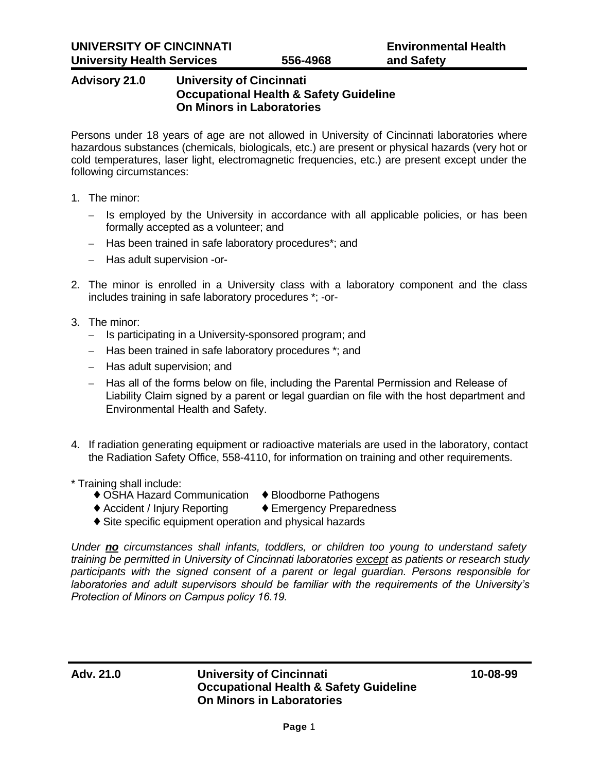# **Advisory 21.0 University of Cincinnati Occupational Health & Safety Guideline On Minors in Laboratories**

Persons under 18 years of age are not allowed in University of Cincinnati laboratories where hazardous substances (chemicals, biologicals, etc.) are present or physical hazards (very hot or cold temperatures, laser light, electromagnetic frequencies, etc.) are present except under the following circumstances:

- 1. The minor:
	- Is employed by the University in accordance with all applicable policies, or has been formally accepted as a volunteer; and
	- Has been trained in safe laboratory procedures\*; and
	- Has adult supervision -or-
- 2. The minor is enrolled in a University class with a laboratory component and the class includes training in safe laboratory procedures \*; -or-
- 3. The minor:
	- Is participating in a University-sponsored program; and
	- Has been trained in safe laboratory procedures \*; and
	- Has adult supervision; and
	- Has all of the forms below on file, including the Parental Permission and Release of Liability Claim signed by a parent or legal guardian on file with the host department and Environmental Health and Safety.
- 4. If radiation generating equipment or radioactive materials are used in the laboratory, contact the Radiation Safety Office, 558-4110, for information on training and other requirements.
- \* Training shall include:
	- ♦ OSHA Hazard Communication ♦ Bloodborne Pathogens
	- ♦ Accident / Injury Reporting ♦ Emergency Preparedness
	- ♦ Site specific equipment operation and physical hazards

*Under no circumstances shall infants, toddlers, or children too young to understand safety training be permitted in University of Cincinnati laboratories except as patients or research study participants with the signed consent of a parent or legal guardian. Persons responsible for laboratories and adult supervisors should be familiar with the requirements of the University's Protection of Minors on Campus policy 16.19.*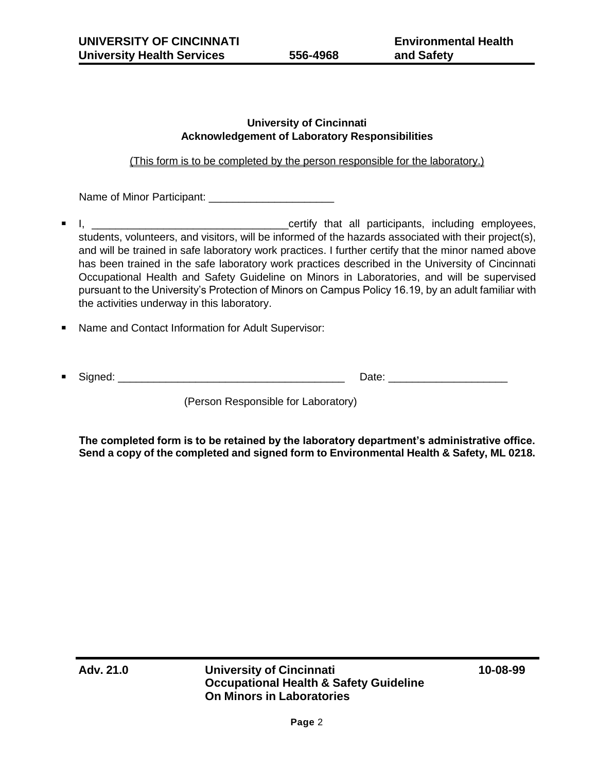### **University of Cincinnati Acknowledgement of Laboratory Responsibilities**

## (This form is to be completed by the person responsible for the laboratory.)

Name of Minor Participant: \_\_\_\_\_\_\_\_\_\_\_\_\_\_\_\_\_\_\_\_\_

- I, \_\_\_\_\_\_\_\_\_\_\_\_\_\_\_\_\_\_\_\_\_\_\_\_\_\_\_\_\_\_\_\_\_certify that all participants, including employees, students, volunteers, and visitors, will be informed of the hazards associated with their project(s), and will be trained in safe laboratory work practices. I further certify that the minor named above has been trained in the safe laboratory work practices described in the University of Cincinnati Occupational Health and Safety Guideline on Minors in Laboratories, and will be supervised pursuant to the University's Protection of Minors on Campus Policy 16.19, by an adult familiar with the activities underway in this laboratory.
- **Name and Contact Information for Adult Supervisor:**

|--|--|--|

(Person Responsible for Laboratory)

**The completed form is to be retained by the laboratory department's administrative office. Send a copy of the completed and signed form to Environmental Health & Safety, ML 0218.**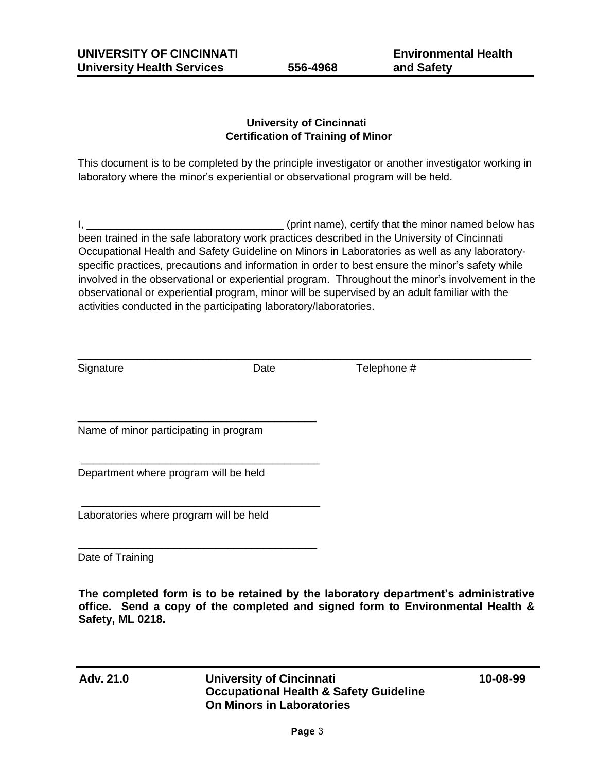**Environmental Health and Safety**

## **University of Cincinnati Certification of Training of Minor**

This document is to be completed by the principle investigator or another investigator working in laboratory where the minor's experiential or observational program will be held.

I, \_\_\_\_\_\_\_\_\_\_\_\_\_\_\_\_\_\_\_\_\_\_\_\_\_\_\_\_\_\_\_\_\_ (print name), certify that the minor named below has been trained in the safe laboratory work practices described in the University of Cincinnati Occupational Health and Safety Guideline on Minors in Laboratories as well as any laboratoryspecific practices, precautions and information in order to best ensure the minor's safety while involved in the observational or experiential program. Throughout the minor's involvement in the observational or experiential program, minor will be supervised by an adult familiar with the activities conducted in the participating laboratory/laboratories.

| Signature                              | Date | Telephone # |  |
|----------------------------------------|------|-------------|--|
|                                        |      |             |  |
| Name of minor participating in program |      |             |  |
| Department where program will be held  |      |             |  |

Laboratories where program will be held

\_\_\_\_\_\_\_\_\_\_\_\_\_\_\_\_\_\_\_\_\_\_\_\_\_\_\_\_\_\_\_\_\_\_\_\_\_\_\_\_

\_\_\_\_\_\_\_\_\_\_\_\_\_\_\_\_\_\_\_\_\_\_\_\_\_\_\_\_\_\_\_\_\_\_\_\_\_\_\_\_

Date of Training

**The completed form is to be retained by the laboratory department's administrative office. Send a copy of the completed and signed form to Environmental Health & Safety, ML 0218.**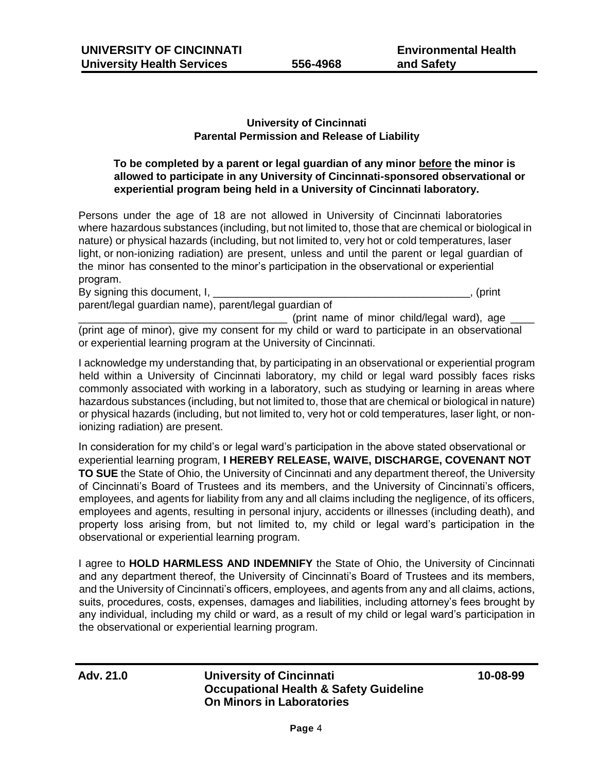### **University of Cincinnati Parental Permission and Release of Liability**

### **To be completed by a parent or legal guardian of any minor before the minor is allowed to participate in any University of Cincinnati-sponsored observational or experiential program being held in a University of Cincinnati laboratory.**

Persons under the age of 18 are not allowed in University of Cincinnati laboratories where hazardous substances (including, but not limited to, those that are chemical or biological in nature) or physical hazards (including, but not limited to, very hot or cold temperatures, laser light, or non-ionizing radiation) are present, unless and until the parent or legal guardian of the minor has consented to the minor's participation in the observational or experiential program.

By signing this document, I, the state of the state of the state of the state of the state of the state of the state of the state of the state of the state of the state of the state of the state of the state of the state o parent/legal guardian name), parent/legal guardian of

(print name of minor child/legal ward), age (print age of minor), give my consent for my child or ward to participate in an observational or experiential learning program at the University of Cincinnati.

I acknowledge my understanding that, by participating in an observational or experiential program held within a University of Cincinnati laboratory, my child or legal ward possibly faces risks commonly associated with working in a laboratory, such as studying or learning in areas where hazardous substances (including, but not limited to, those that are chemical or biological in nature) or physical hazards (including, but not limited to, very hot or cold temperatures, laser light, or nonionizing radiation) are present.

In consideration for my child's or legal ward's participation in the above stated observational or experiential learning program, **I HEREBY RELEASE, WAIVE, DISCHARGE, COVENANT NOT TO SUE** the State of Ohio, the University of Cincinnati and any department thereof, the University of Cincinnati's Board of Trustees and its members, and the University of Cincinnati's officers, employees, and agents for liability from any and all claims including the negligence, of its officers, employees and agents, resulting in personal injury, accidents or illnesses (including death), and property loss arising from, but not limited to, my child or legal ward's participation in the observational or experiential learning program.

I agree to **HOLD HARMLESS AND INDEMNIFY** the State of Ohio, the University of Cincinnati and any department thereof, the University of Cincinnati's Board of Trustees and its members, and the University of Cincinnati's officers, employees, and agents from any and all claims, actions, suits, procedures, costs, expenses, damages and liabilities, including attorney's fees brought by any individual, including my child or ward, as a result of my child or legal ward's participation in the observational or experiential learning program.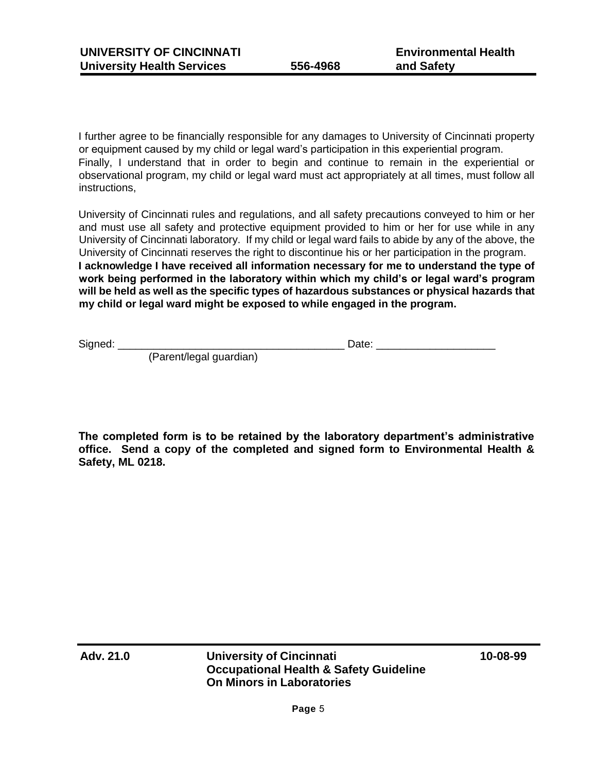I further agree to be financially responsible for any damages to University of Cincinnati property or equipment caused by my child or legal ward's participation in this experiential program. Finally, I understand that in order to begin and continue to remain in the experiential or observational program, my child or legal ward must act appropriately at all times, must follow all instructions,

University of Cincinnati rules and regulations, and all safety precautions conveyed to him or her and must use all safety and protective equipment provided to him or her for use while in any University of Cincinnati laboratory. If my child or legal ward fails to abide by any of the above, the University of Cincinnati reserves the right to discontinue his or her participation in the program. **I acknowledge I have received all information necessary for me to understand the type of work being performed in the laboratory within which my child's or legal ward's program will be held as well as the specific types of hazardous substances or physical hazards that my child or legal ward might be exposed to while engaged in the program.** 

Signed: \_\_\_\_\_\_\_\_\_\_\_\_\_\_\_\_\_\_\_\_\_\_\_\_\_\_\_\_\_\_\_\_\_\_\_\_\_\_ Date: \_\_\_\_\_\_\_\_\_\_\_\_\_\_\_\_\_\_\_\_

(Parent/legal guardian)

**The completed form is to be retained by the laboratory department's administrative office. Send a copy of the completed and signed form to Environmental Health & Safety, ML 0218.**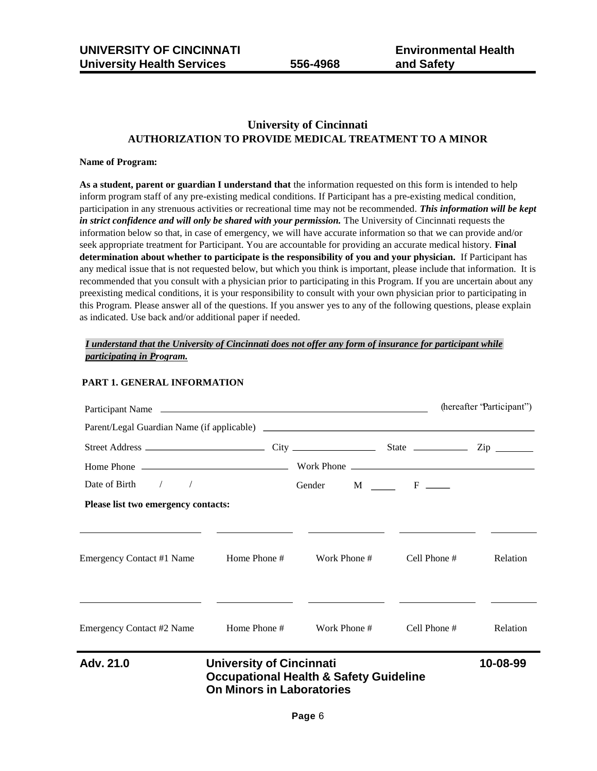### **University of Cincinnati AUTHORIZATION TO PROVIDE MEDICAL TREATMENT TO A MINOR**

#### **Name of Program:**

**As a student, parent or guardian I understand that** the information requested on this form is intended to help inform program staff of any pre-existing medical conditions. If Participant has a pre-existing medical condition, participation in any strenuous activities or recreational time may not be recommended. *This information will be kept in strict confidence and will only be shared with your permission.* The University of Cincinnati requests the information below so that, in case of emergency, we will have accurate information so that we can provide and/or seek appropriate treatment for Participant. You are accountable for providing an accurate medical history. **Final determination about whether to participate is the responsibility of you and your physician.** If Participant has any medical issue that is not requested below, but which you think is important, please include that information. It is recommended that you consult with a physician prior to participating in this Program. If you are uncertain about any preexisting medical conditions, it is your responsibility to consult with your own physician prior to participating in this Program. Please answer all of the questions. If you answer yes to any of the following questions, please explain as indicated. Use back and/or additional paper if needed.

### *I understand that the University of Cincinnati does not offer any form of insurance for participant while participating in Program.*

| Participant Name                       |                                                                     |                                                   |                | (hereafter 'Participant'') |
|----------------------------------------|---------------------------------------------------------------------|---------------------------------------------------|----------------|----------------------------|
|                                        |                                                                     |                                                   |                |                            |
|                                        |                                                                     |                                                   |                |                            |
|                                        |                                                                     |                                                   |                |                            |
| Date of Birth / /                      |                                                                     | Gender M F                                        |                |                            |
| Please list two emergency contacts:    |                                                                     |                                                   |                |                            |
| Emergency Contact #1 Name              | Home Phone #                                                        | Work Phone #                                      | Cell Phone #   | Relation                   |
| Emergency Contact #2 Name Home Phone # |                                                                     | Work Phone #                                      | Cell Phone $#$ | Relation                   |
| Adv. 21.0                              | <b>University of Cincinnati</b><br><b>On Minors in Laboratories</b> | <b>Occupational Health &amp; Safety Guideline</b> |                | 10-08-99                   |

### **PART 1. GENERAL INFORMATION**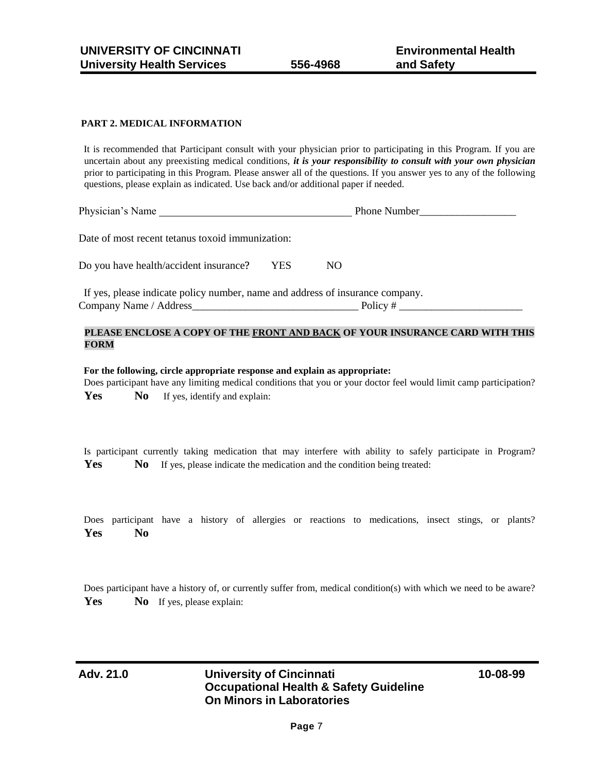#### **PART 2. MEDICAL INFORMATION**

It is recommended that Participant consult with your physician prior to participating in this Program. If you are uncertain about any preexisting medical conditions, *it is your responsibility to consult with your own physician*  prior to participating in this Program. Please answer all of the questions. If you answer yes to any of the following questions, please explain as indicated. Use back and/or additional paper if needed.

Physician's Name **Phone Number** 

Date of most recent tetanus toxoid immunization:

Do you have health/accident insurance? YES NO

If yes, please indicate policy number, name and address of insurance company. Company Name / Address\_\_\_\_\_\_\_\_\_\_\_\_\_\_\_\_\_\_\_\_\_\_\_\_\_\_\_\_\_\_\_ Policy # \_\_\_\_\_\_\_\_\_\_\_\_\_\_\_\_\_\_\_\_\_\_\_

#### **PLEASE ENCLOSE A COPY OF THE FRONT AND BACK OF YOUR INSURANCE CARD WITH THIS FORM**

#### **For the following, circle appropriate response and explain as appropriate:**

Does participant have any limiting medical conditions that you or your doctor feel would limit camp participation? Yes No If yes, identify and explain:

Is participant currently taking medication that may interfere with ability to safely participate in Program? **Yes** No If yes, please indicate the medication and the condition being treated:

Does participant have a history of allergies or reactions to medications, insect stings, or plants? **Yes No** 

Does participant have a history of, or currently suffer from, medical condition(s) with which we need to be aware? Yes No If yes, please explain: